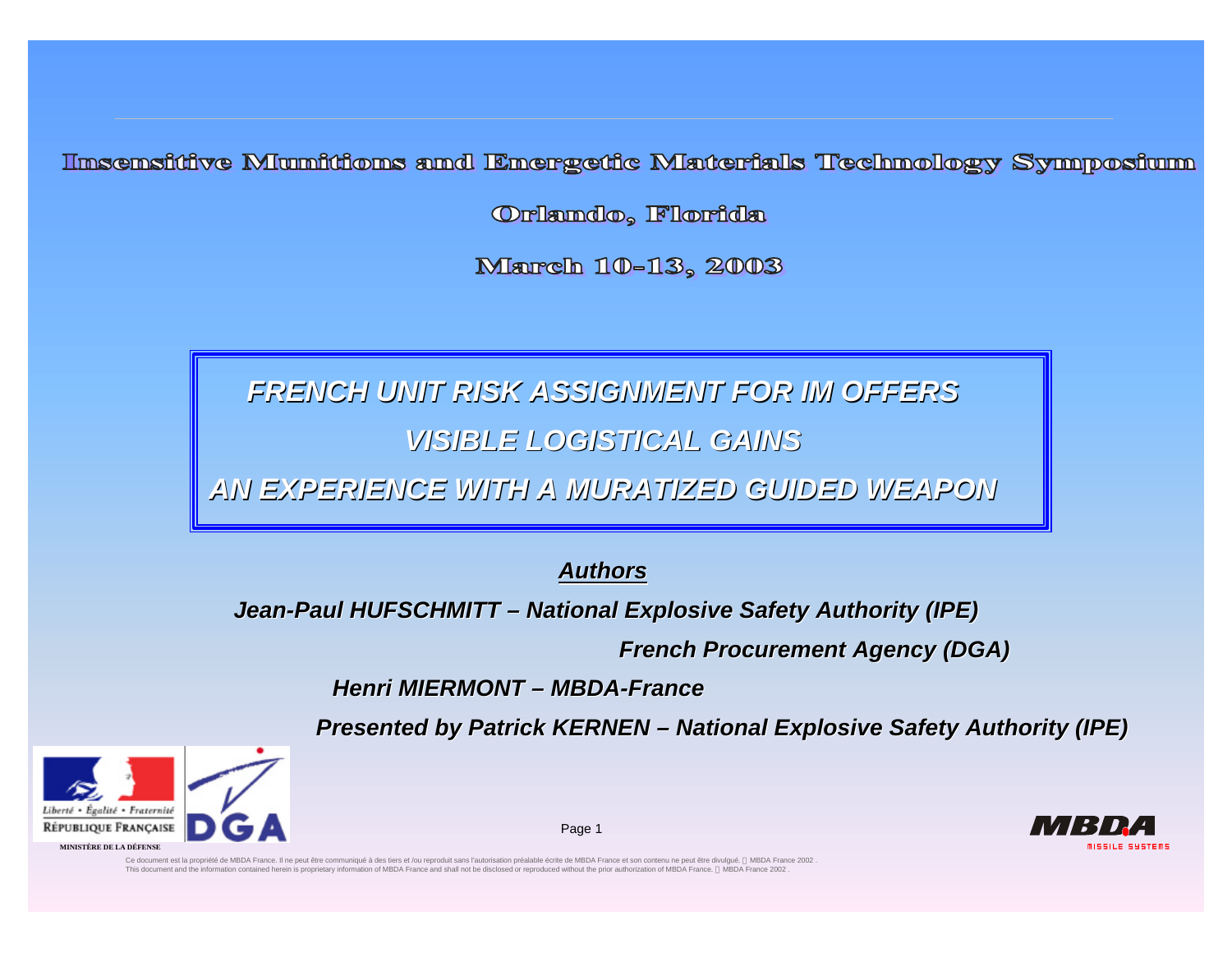Insensitive Mumitions and Energetic Materials Technology Symposiun

Orlando, Florida

March 10-13, 2003

*FRENCH UNIT RISK ASSIGNMENT FOR IM OFFERS VISIBLE LOGISTICAL GAINS*

*AN EXPERIENCE WITH A MURATIZED GUIDED WEAPON*

*Authors*

*Jean-Paul HUFSCHMITT – National Explosive Safety Authority (IPE)*

 *French Procurement Agency (DGA)*

*Henri MIERMONT – MBDA-France*

*Presented by Patrick KERNEN – National Explosive Safety Authority (IPE)*

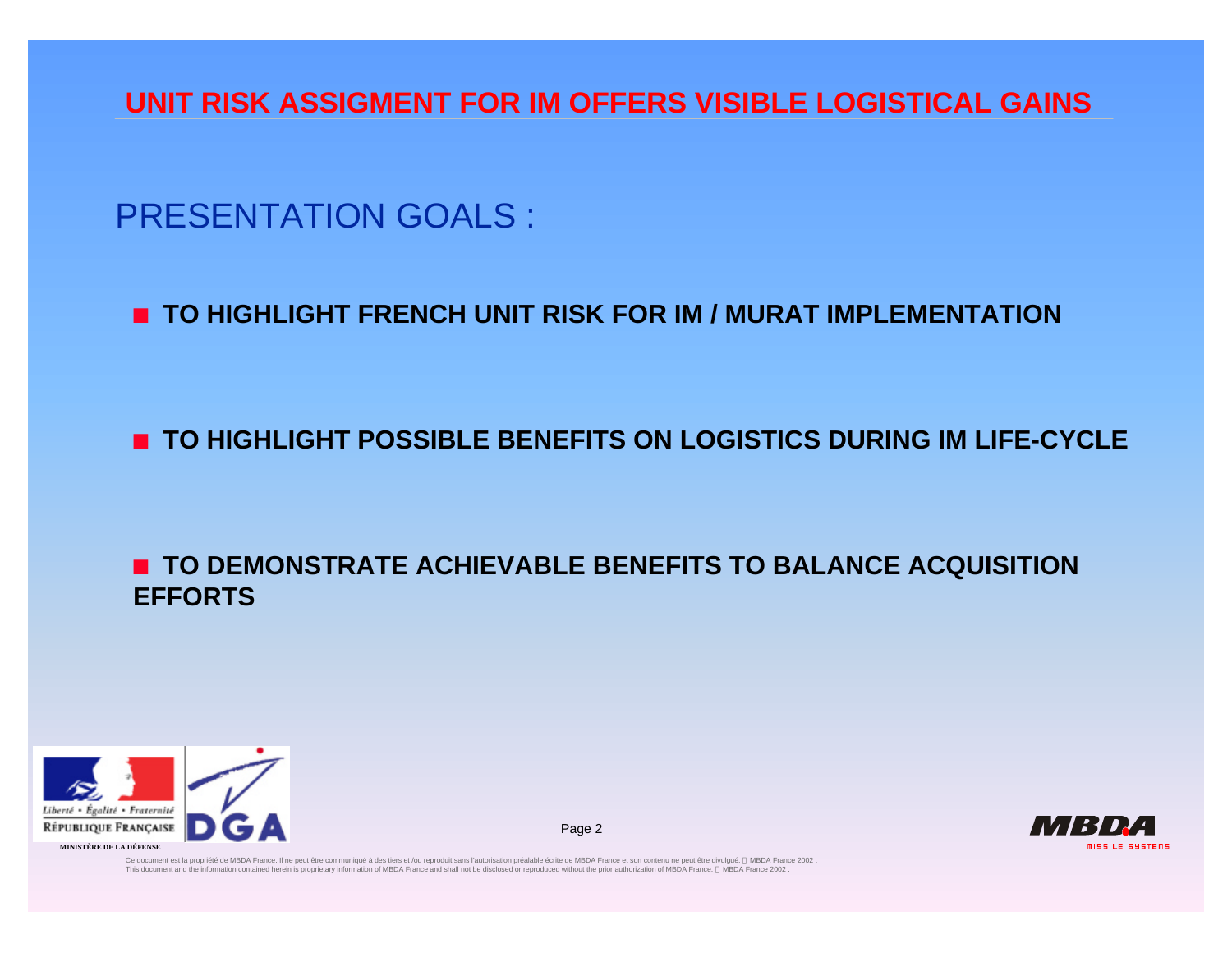## PRESENTATION GOALS :

#### **n** TO HIGHLIGHT FRENCH UNIT RISK FOR IM / MURAT IMPLEMENTATION

### **n TO HIGHLIGHT POSSIBLE BENEFITS ON LOGISTICS DURING IM LIFE-CYCLE**

#### **n** TO DEMONSTRATE ACHIEVABLE BENEFITS TO BALANCE ACQUISITION **EFFORTS**

Page 2



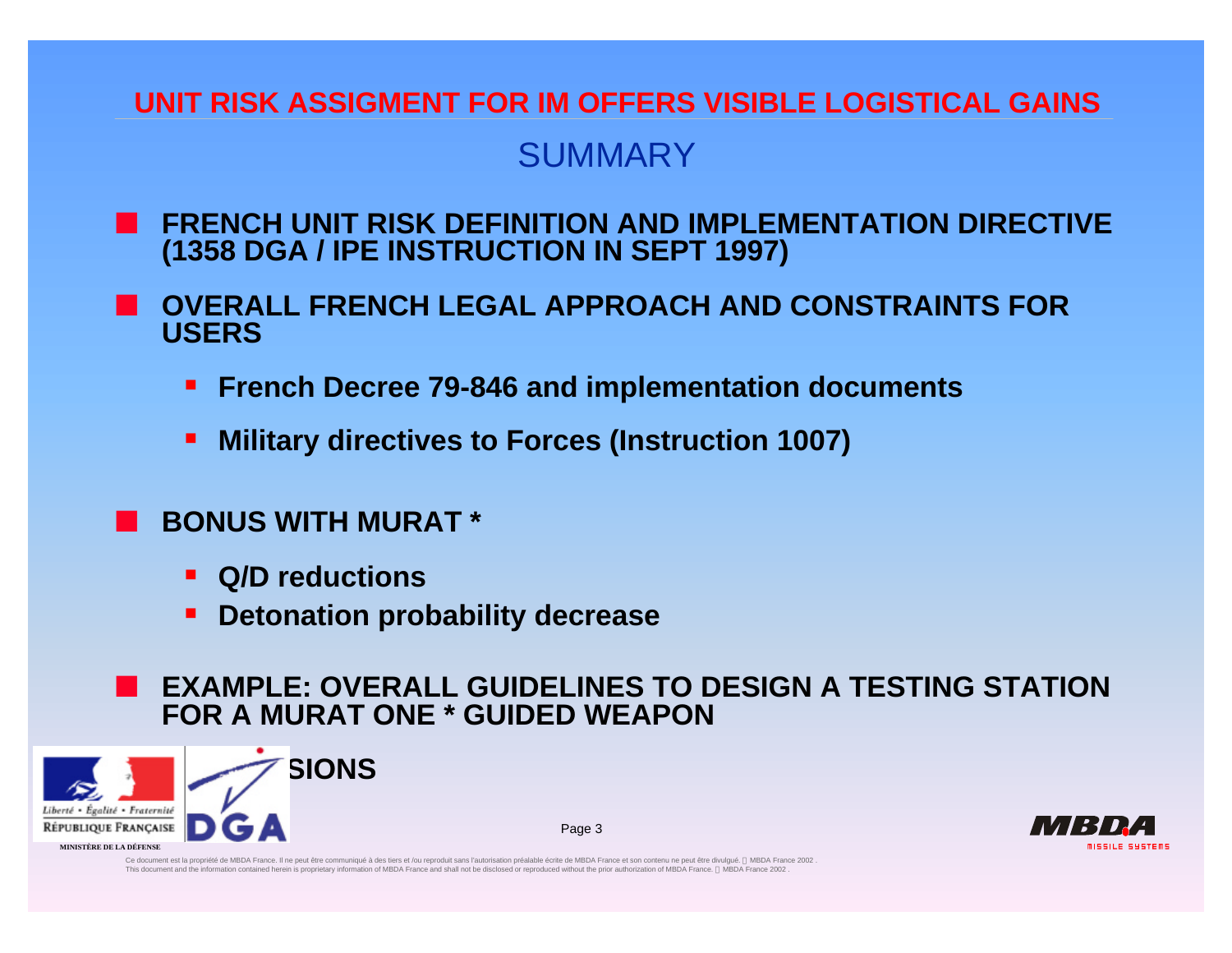## **SUMMARY**

- **FRENCH UNIT RISK DEFINITION AND IMPLEMENTATION DIRECTIVE (1358 DGA / IPE INSTRUCTION IN SEPT 1997)**
- n **OVERALL FRENCH LEGAL APPROACH AND CONSTRAINTS FOR USERS**
	- **Figure 19-846 and implementation documents**
	- **E** Military directives to Forces (Instruction 1007)
	- n **BONUS WITH MURAT \***
		- ß **Q/D reductions**
		- ß **Detonation probability decrease**

### n **EXAMPLE: OVERALL GUIDELINES TO DESIGN A TESTING STATION FOR A MURAT ONE \* GUIDED WEAPON**

Page 3

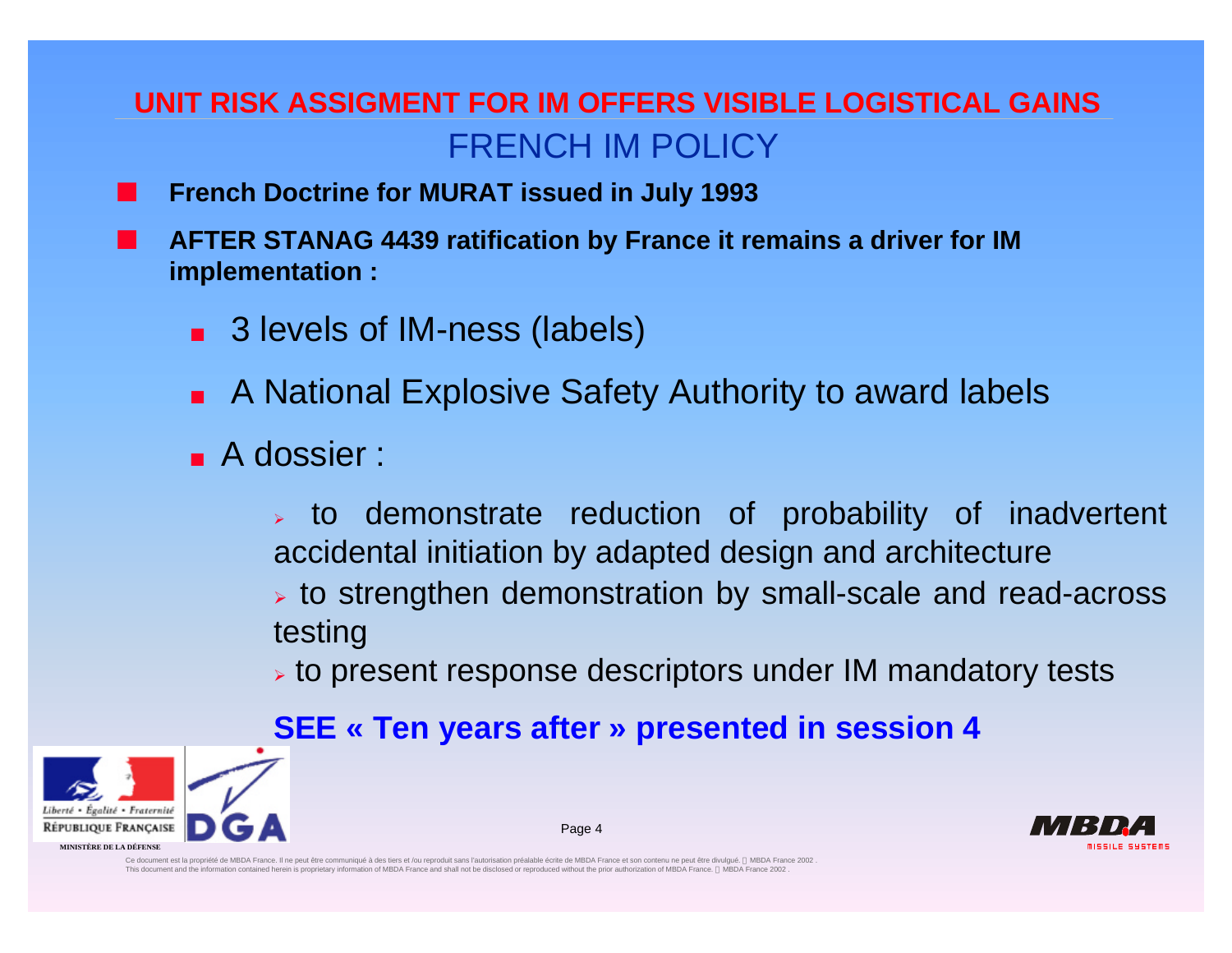## **UNIT RISK ASSIGMENT FOR IM OFFERS VISIBLE LOGISTICAL GAINS** FRENCH IM POLICY

- **French Doctrine for MURAT issued in July 1993** 
	- n **AFTER STANAG 4439 ratification by France it remains a driver for IM implementation :**
		- 3 levels of IM-ness (labels)
		- **n A National Explosive Safety Authority to award labels**
		- **A** dossier :

 $\ge$  to demonstrate reduction of probability of inadvertent accidental initiation by adapted design and architecture  $\geq$  to strengthen demonstration by small-scale and read-across testing

 $\triangleright$  to present response descriptors under IM mandatory tests

## **SEE « Ten years after » presented in session 4**

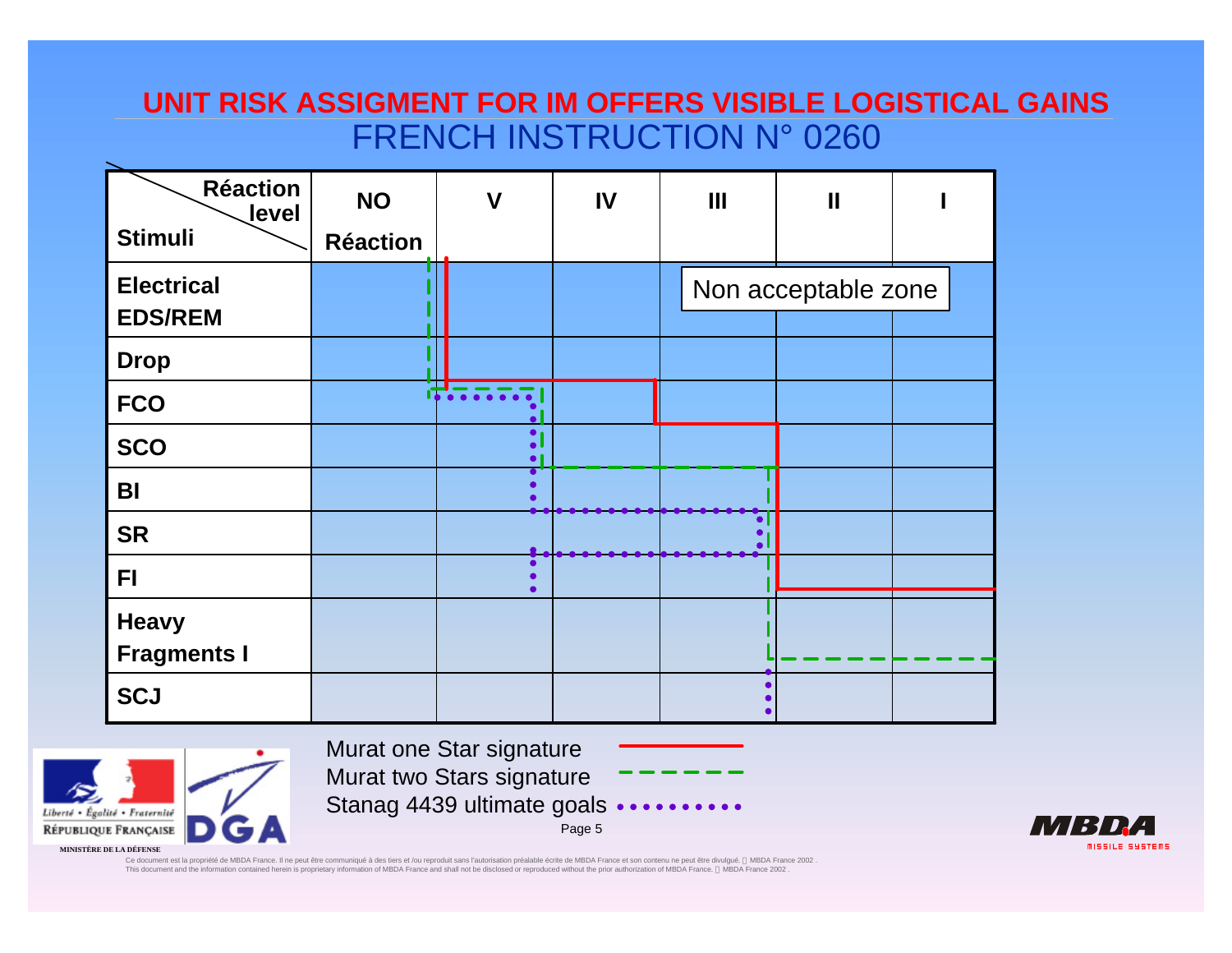## **UNIT RISK ASSIGMENT FOR IM OFFERS VISIBLE LOGISTICAL GAINS** FRENCH INSTRUCTION N° 0260

| <b>Réaction</b><br>level<br><b>Stimuli</b> | <b>NO</b><br><b>Réaction</b> | $\mathbf V$                         | IV | $\mathbf{III}$ | $\mathbf{I}$        |  |
|--------------------------------------------|------------------------------|-------------------------------------|----|----------------|---------------------|--|
| <b>Electrical</b><br><b>EDS/REM</b>        |                              |                                     |    |                | Non acceptable zone |  |
| <b>Drop</b>                                |                              |                                     |    |                |                     |  |
| <b>FCO</b>                                 |                              | $\bullet$ $\bullet$ $\bullet$       |    |                |                     |  |
| <b>SCO</b>                                 |                              | $\bullet$<br>$\bullet$<br>$\bullet$ |    |                |                     |  |
| BI                                         |                              |                                     |    |                |                     |  |
| <b>SR</b>                                  |                              |                                     |    |                |                     |  |
| F1                                         |                              |                                     |    |                |                     |  |
| <b>Heavy</b><br><b>Fragments I</b>         |                              |                                     |    |                |                     |  |
| <b>SCJ</b>                                 |                              |                                     |    |                |                     |  |



Murat one Star signature Murat two Stars signature Stanag 4439 ultimate goals •

Page 5

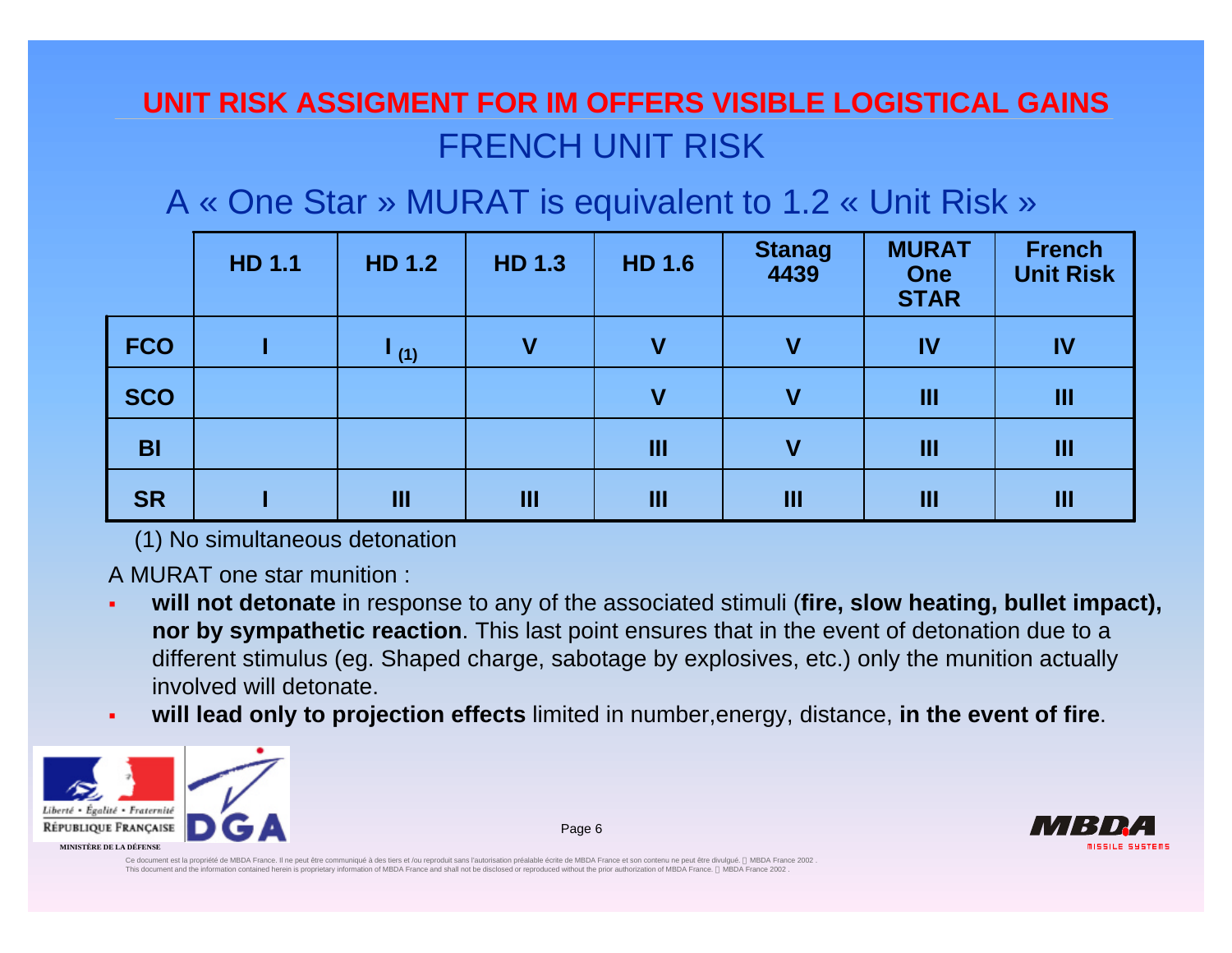# **UNIT RISK ASSIGMENT FOR IM OFFERS VISIBLE LOGISTICAL GAINS** FRENCH UNIT RISK

A « One Star » MURAT is equivalent to 1.2 « Unit Risk »

|            | <b>HD 1.1</b> | <b>HD 1.2</b>    | <b>HD 1.3</b> | <b>HD 1.6</b> | Stanag<br>4439 | <b>MURAT</b><br><b>One</b><br><b>STAR</b> | <b>French</b><br><b>Unit Risk</b> |
|------------|---------------|------------------|---------------|---------------|----------------|-------------------------------------------|-----------------------------------|
| <b>FCO</b> |               | $\mathbf{I}$ (1) | $\mathbf v$   |               | $\mathbf v$    | IV                                        | IV                                |
| <b>SCO</b> |               |                  |               | V             | $\mathbf V$    | Ш                                         | Ш                                 |
| <b>BI</b>  |               |                  |               | Ш             | $\mathbf v$    | Ш                                         | Ш                                 |
| <b>SR</b>  |               | Ш                | Ш             | Ш             | Ш              | Ш                                         | Ш                                 |

(1) No simultaneous detonation

A MURAT one star munition :

- ß **will not detonate** in response to any of the associated stimuli (**fire, slow heating, bullet impact), nor by sympathetic reaction**. This last point ensures that in the event of detonation due to a different stimulus (eg. Shaped charge, sabotage by explosives, etc.) only the munition actually involved will detonate.
- ß **will lead only to projection effects** limited in number,energy, distance, **in the event of fire**.



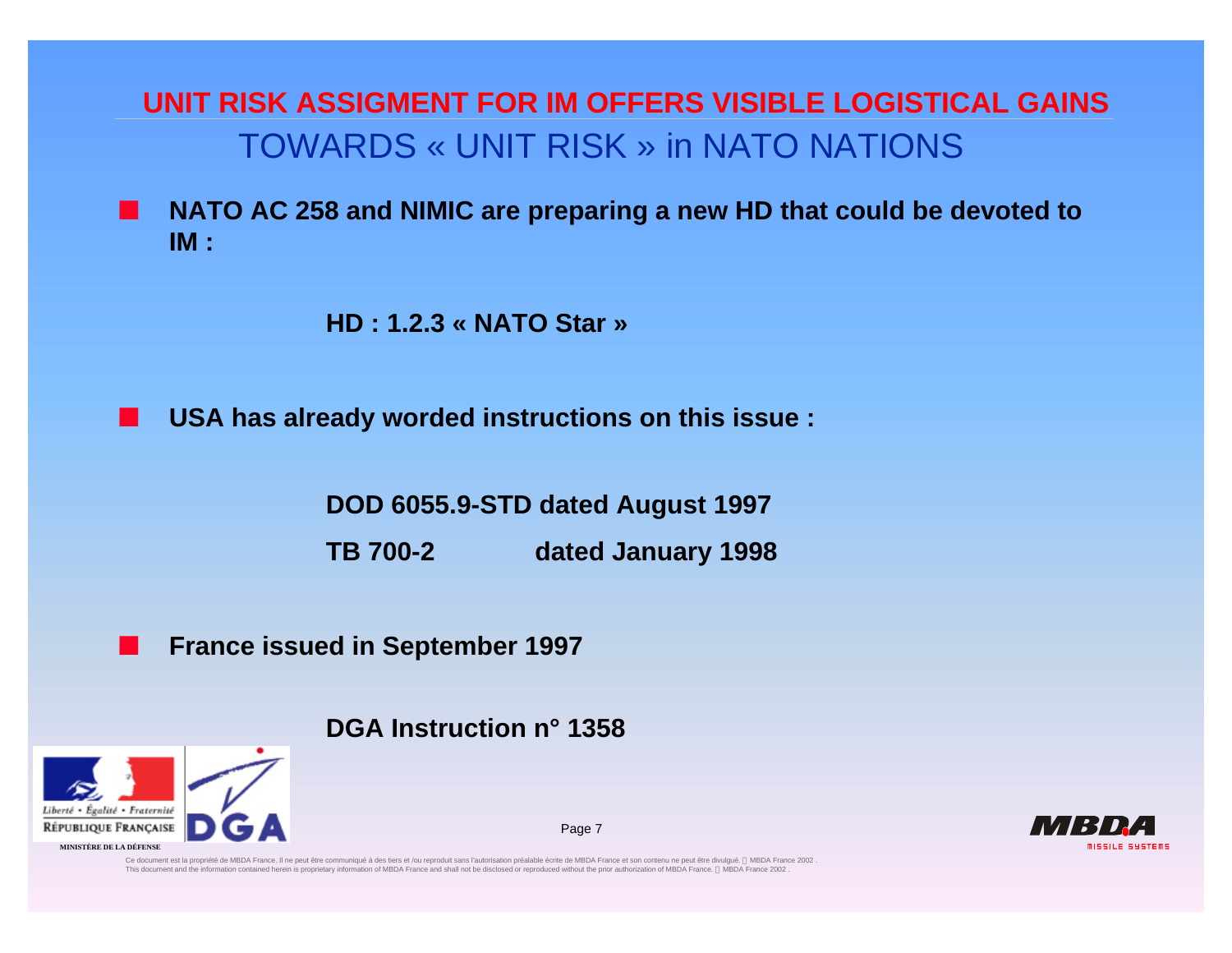**UNIT RISK ASSIGMENT FOR IM OFFERS VISIBLE LOGISTICAL GAINS** TOWARDS « UNIT RISK » in NATO NATIONS

n **NATO AC 258 and NIMIC are preparing a new HD that could be devoted to IM :**

**HD : 1.2.3 « NATO Star »**

n **USA has already worded instructions on this issue :**

**DOD 6055.9-STD dated August 1997**

**TB 700-2 dated January 1998**

Page 7

**France issued in September 1997** 

**DGA Instruction n° 1358**



**MISSILE SYSTEMS**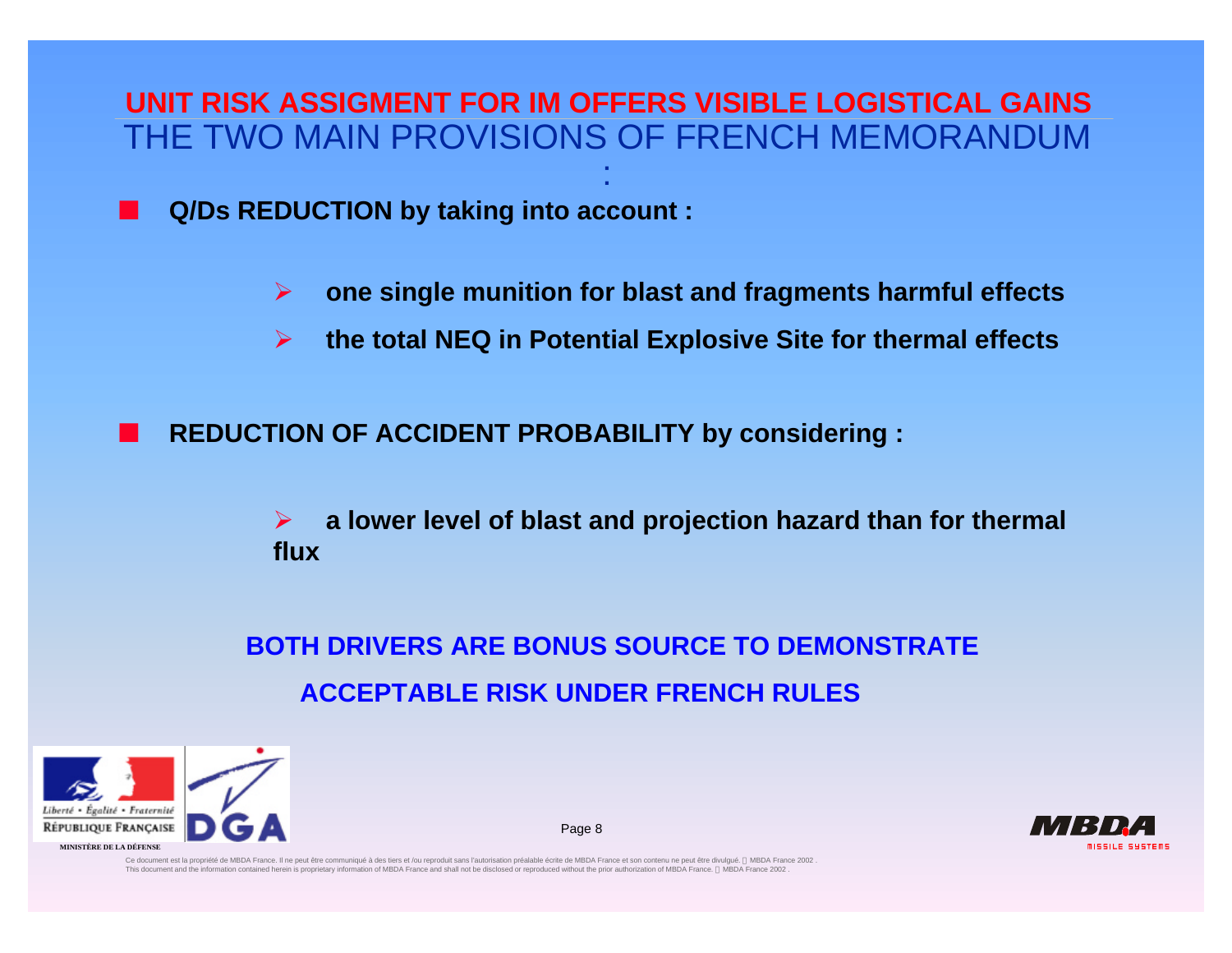THE TWO MAIN PROVISIONS OF FRENCH MEMORANDUM **UNIT RISK ASSIGMENT FOR IM OFFERS VISIBLE LOGISTICAL GAINS**

:

n **Q/Ds REDUCTION by taking into account :**

- ÿ **one single munition for blast and fragments harmful effects**
- ÿ **the total NEQ in Potential Explosive Site for thermal effects**

n **REDUCTION OF ACCIDENT PROBABILITY by considering :**

ÿ **a lower level of blast and projection hazard than for thermal flux** 

**BOTH DRIVERS ARE BONUS SOURCE TO DEMONSTRATE ACCEPTABLE RISK UNDER FRENCH RULES**

Page 8

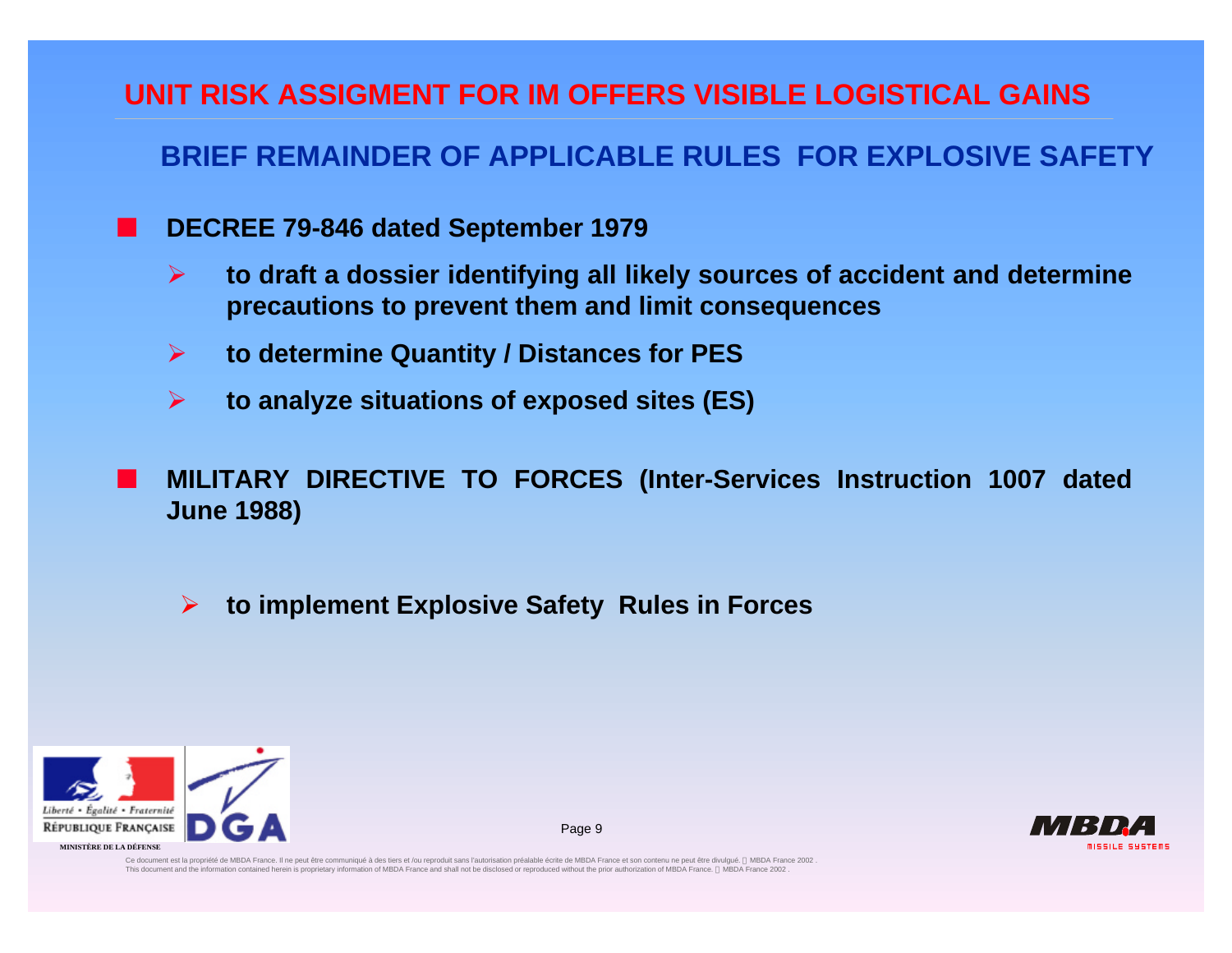### **BRIEF REMAINDER OF APPLICABLE RULES FOR EXPLOSIVE SAFETY**

- n **DECREE 79-846 dated September 1979**
	- ÿ **to draft a dossier identifying all likely sources of accident and determine precautions to prevent them and limit consequences**
	- ÿ **to determine Quantity / Distances for PES**
	- ÿ **to analyze situations of exposed sites (ES)**
- n **MILITARY DIRECTIVE TO FORCES (Inter-Services Instruction 1007 dated June 1988)**
	- ÿ **to implement Explosive Safety Rules in Forces**



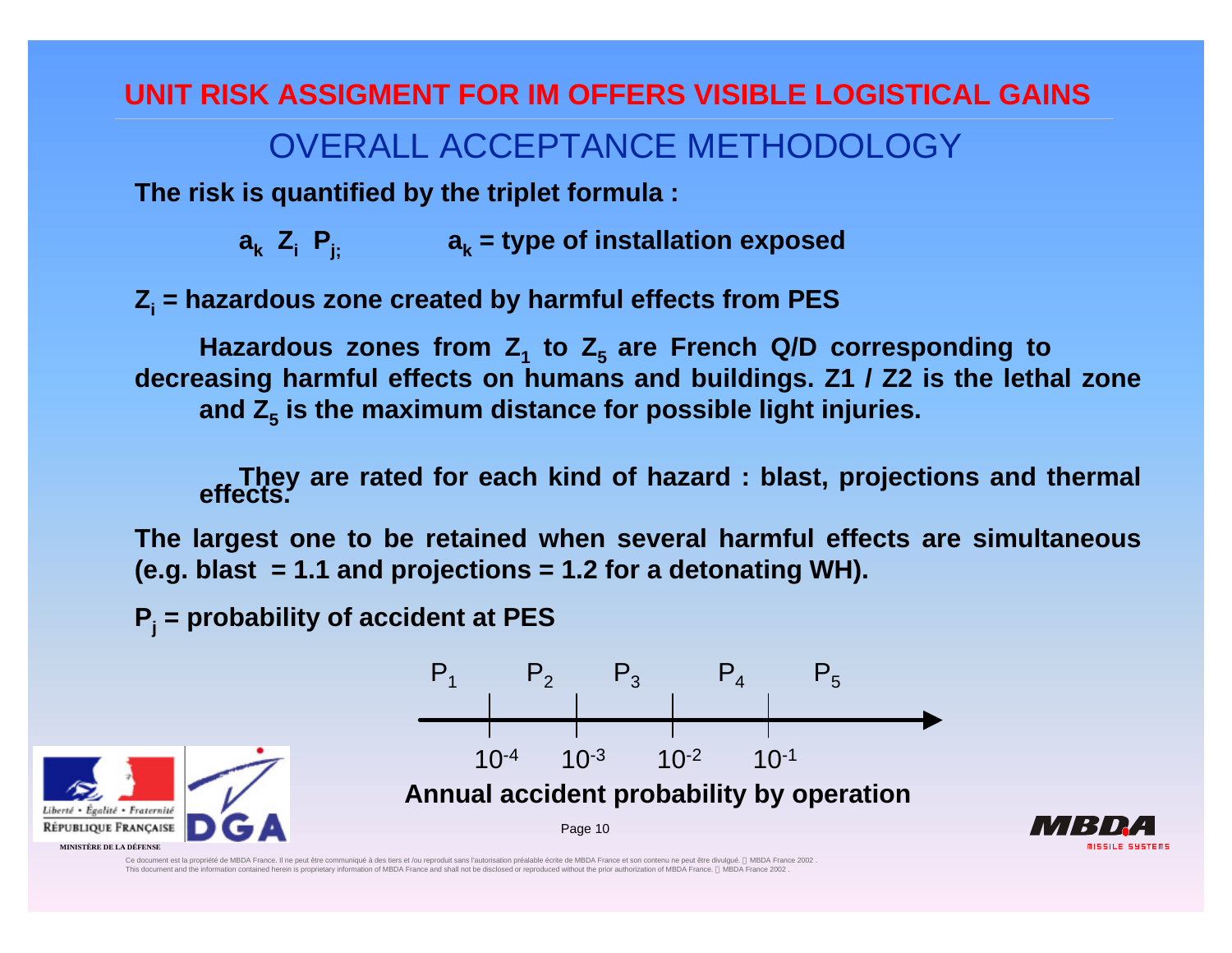# OVERALL ACCEPTANCE METHODOLOGY

**The risk is quantified by the triplet formula :**

 $a_k$  **Z**<sub>i</sub> **P**<sub>i;</sub>  $a_k$  = type of installation exposed

**Z<sup>i</sup> = hazardous zone created by harmful effects from PES**

**Hazardous zones from Z<sup>1</sup> to Z5 are French Q/D corresponding to decreasing harmful effects on humans and buildings. Z1 / Z2 is the lethal zone and Z<sup>5</sup> is the maximum distance for possible light injuries.**

**They are rated for each kind of hazard : blast, projections and thermal effects.**

**The largest one to be retained when several harmful effects are simultaneous (e.g. blast = 1.1 and projections = 1.2 for a detonating WH).**

**P<sup>j</sup> = probability of accident at PES**



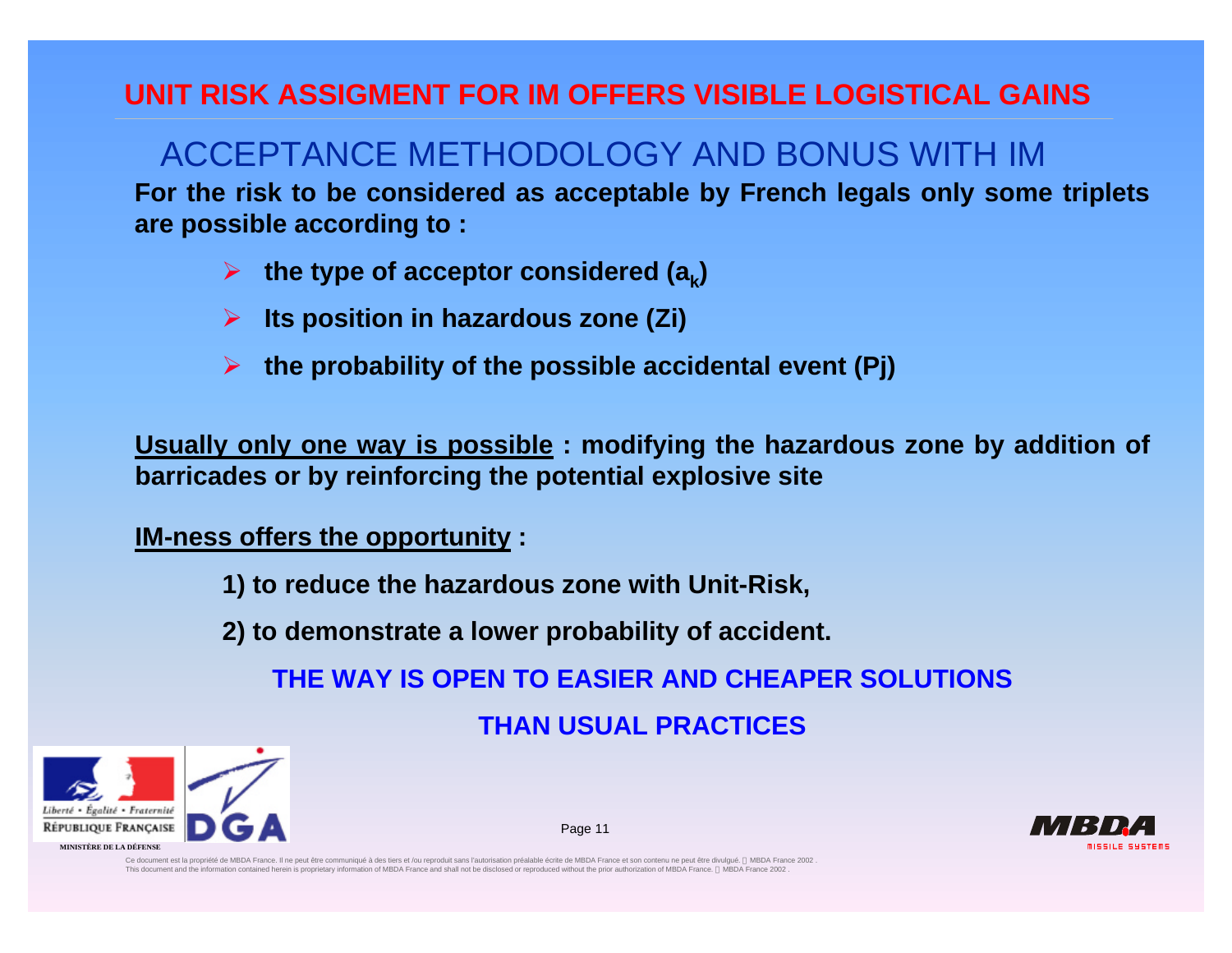## ACCEPTANCE METHODOLOGY AND BONUS WITH IM

**For the risk to be considered as acceptable by French legals only some triplets are possible according to :**

- $\triangleright$  the type of acceptor considered (a<sub>k</sub>)
- ÿ **Its position in hazardous zone (Zi)**
- ÿ **the probability of the possible accidental event (Pj)**

**Usually only one way is possible : modifying the hazardous zone by addition of barricades or by reinforcing the potential explosive site**

**IM-ness offers the opportunity :**

**1) to reduce the hazardous zone with Unit-Risk,**

**2) to demonstrate a lower probability of accident.**

**THE WAY IS OPEN TO EASIER AND CHEAPER SOLUTIONS**

**THAN USUAL PRACTICES**

Page 11



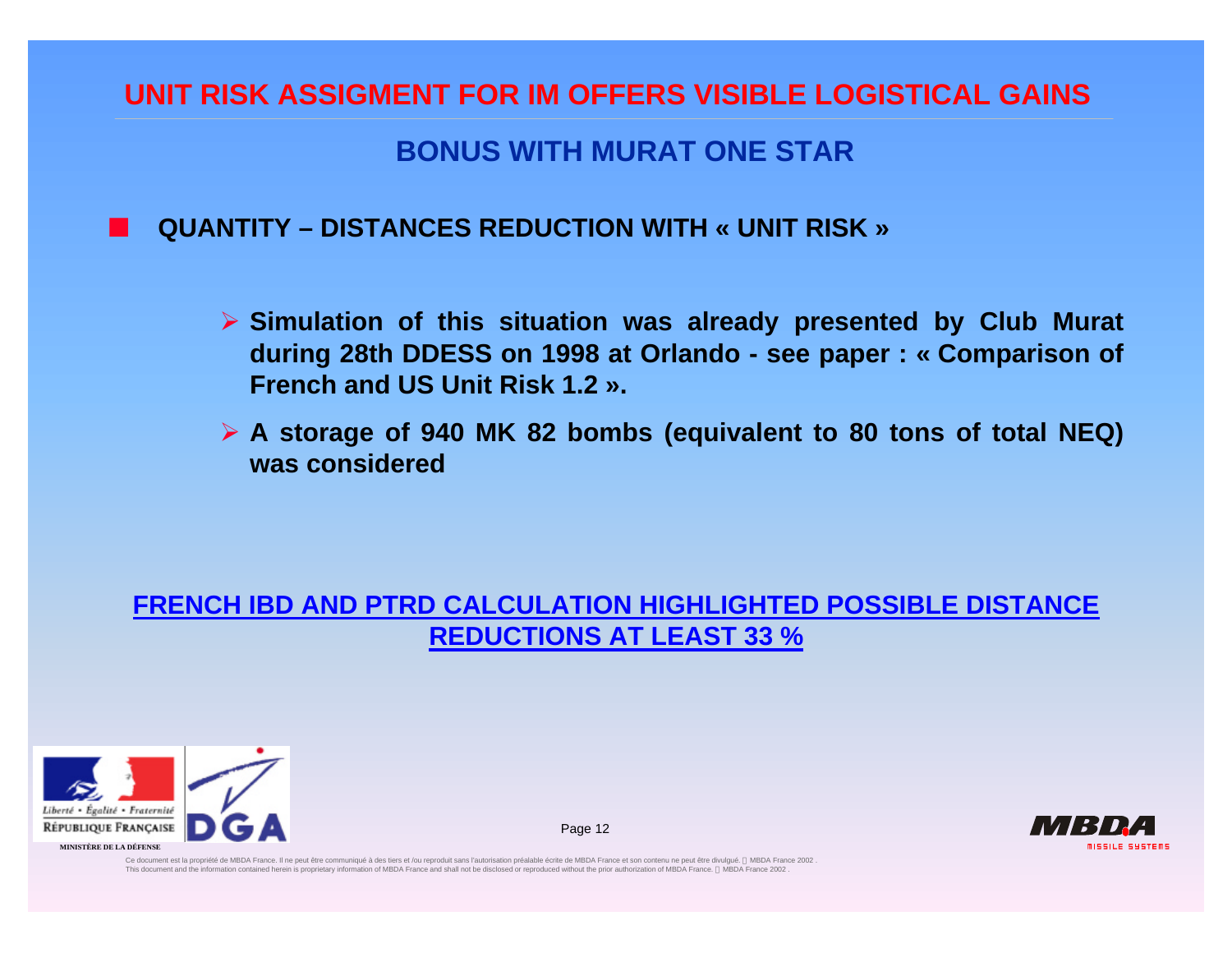### **BONUS WITH MURAT ONE STAR**

#### n **QUANTITY – DISTANCES REDUCTION WITH « UNIT RISK »**

- ÿ **Simulation of this situation was already presented by Club Murat during 28th DDESS on 1998 at Orlando - see paper : « Comparison of French and US Unit Risk 1.2 ».**
- ÿ **A storage of 940 MK 82 bombs (equivalent to 80 tons of total NEQ) was considered**

#### **FRENCH IBD AND PTRD CALCULATION HIGHLIGHTED POSSIBLE DISTANCE REDUCTIONS AT LEAST 33 %**

Page 12

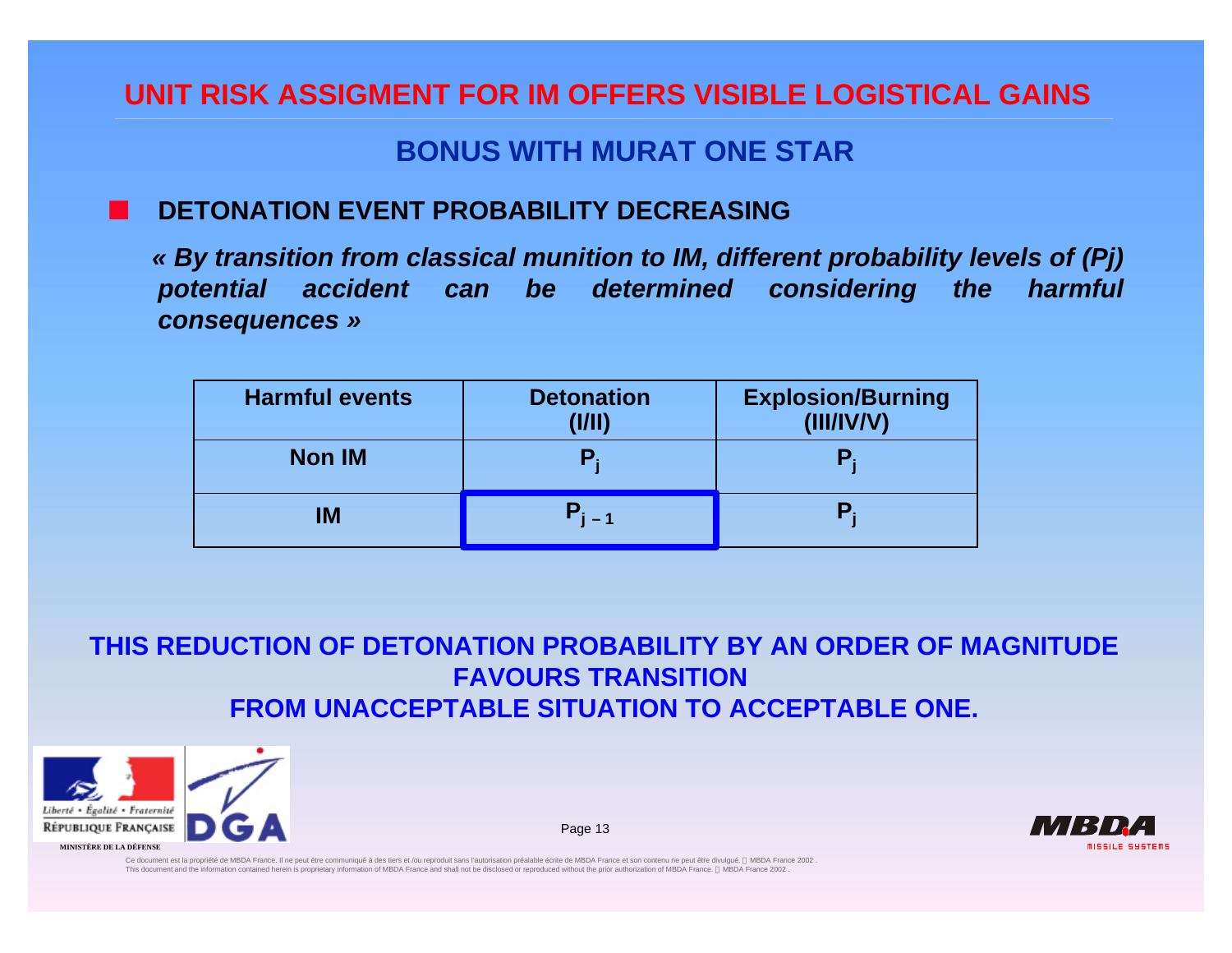### **BONUS WITH MURAT ONE STAR**

#### n **DETONATION EVENT PROBABILITY DECREASING**

*« By transition from classical munition to IM, different probability levels of (Pj) potential accident can be determined considering the harmful consequences »*

| <b>Harmful events</b> | <b>Detonation</b><br>(1/11) | <b>Explosion/Burning</b><br>(III/IV/V) |
|-----------------------|-----------------------------|----------------------------------------|
| <b>Non IM</b>         |                             |                                        |
| <b>IM</b>             |                             |                                        |

**THIS REDUCTION OF DETONATION PROBABILITY BY AN ORDER OF MAGNITUDE FAVOURS TRANSITION FROM UNACCEPTABLE SITUATION TO ACCEPTABLE ONE.**



Page 13

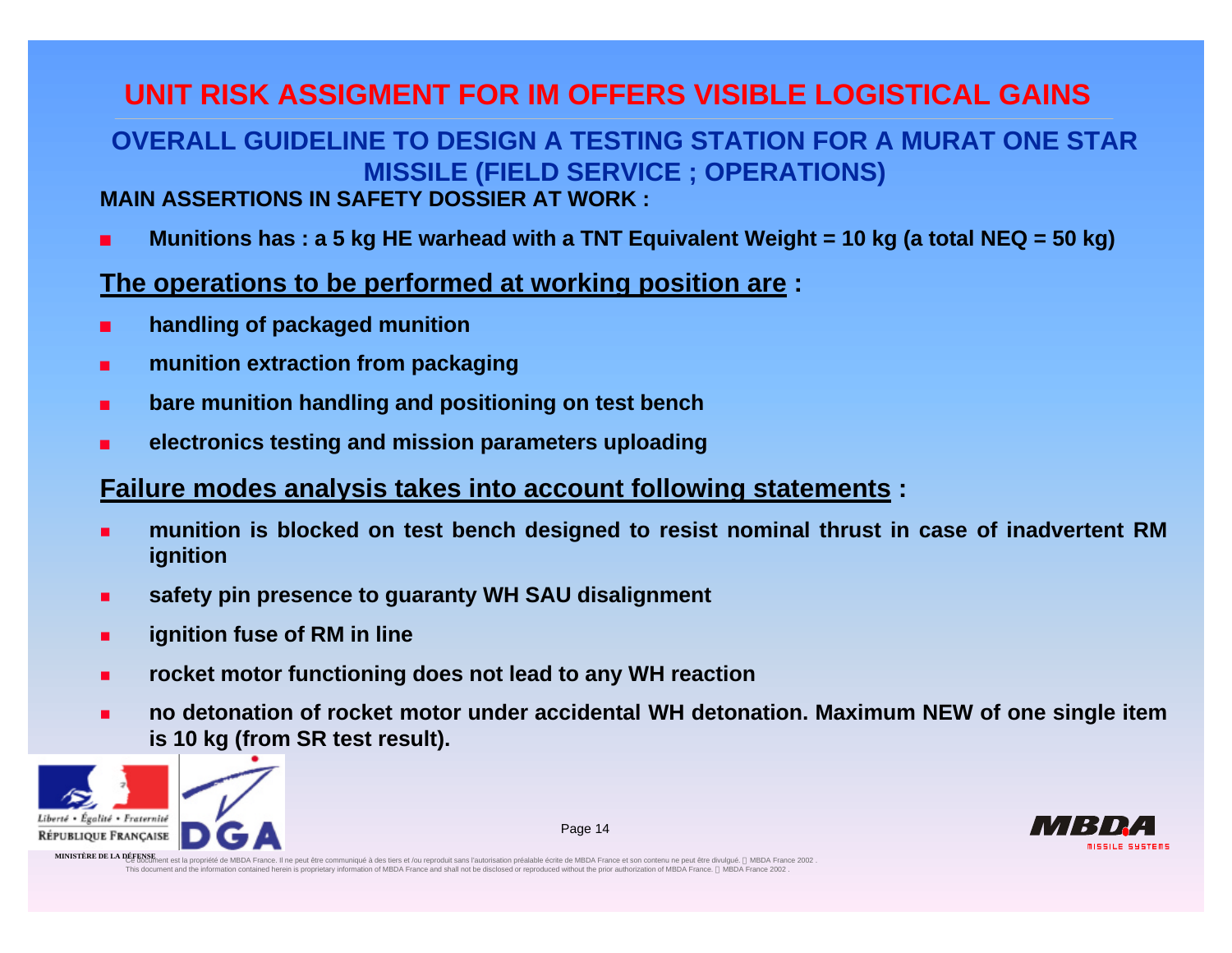## **OVERALL GUIDELINE TO DESIGN A TESTING STATION FOR A MURAT ONE STAR MISSILE (FIELD SERVICE ; OPERATIONS)**

#### **MAIN ASSERTIONS IN SAFETY DOSSIER AT WORK :**

<sup>n</sup> **Munitions has : a 5 kg HE warhead with a TNT Equivalent Weight = 10 kg (a total NEQ = 50 kg)**

#### **The operations to be performed at working position are :**

- <sup>n</sup> **handling of packaged munition**
- **munition extraction from packaging**
- <sup>n</sup> **bare munition handling and positioning on test bench**
- <sup>n</sup> **electronics testing and mission parameters uploading**

#### **Failure modes analysis takes into account following statements :**

- <sup>n</sup> **munition is blocked on test bench designed to resist nominal thrust in case of inadvertent RM ignition**
- <sup>n</sup> **safety pin presence to guaranty WH SAU disalignment**
- **ignition fuse of RM in line**
- <sup>n</sup> **rocket motor functioning does not lead to any WH reaction**
- no detonation of rocket motor under accidental WH detonation. Maximum NEW of one single item **is 10 kg (from SR test result).**

Page 14



**MINISTÈRE DE LA DÉFENSE**<br>MINISTÈRE DE LA DÉFENSIMent est la propriété de MBDA France. Il ne peut être communiqué à des tiers et /ou reproduit sans l'autorisation préalable écrite de MBDA France et son contenu ne peut êtr This document and the information contained herein is proprietary information of MBDA France and shall not be disclosed or reproduced without the prior authorization of MBDA France. © MBDA France 2002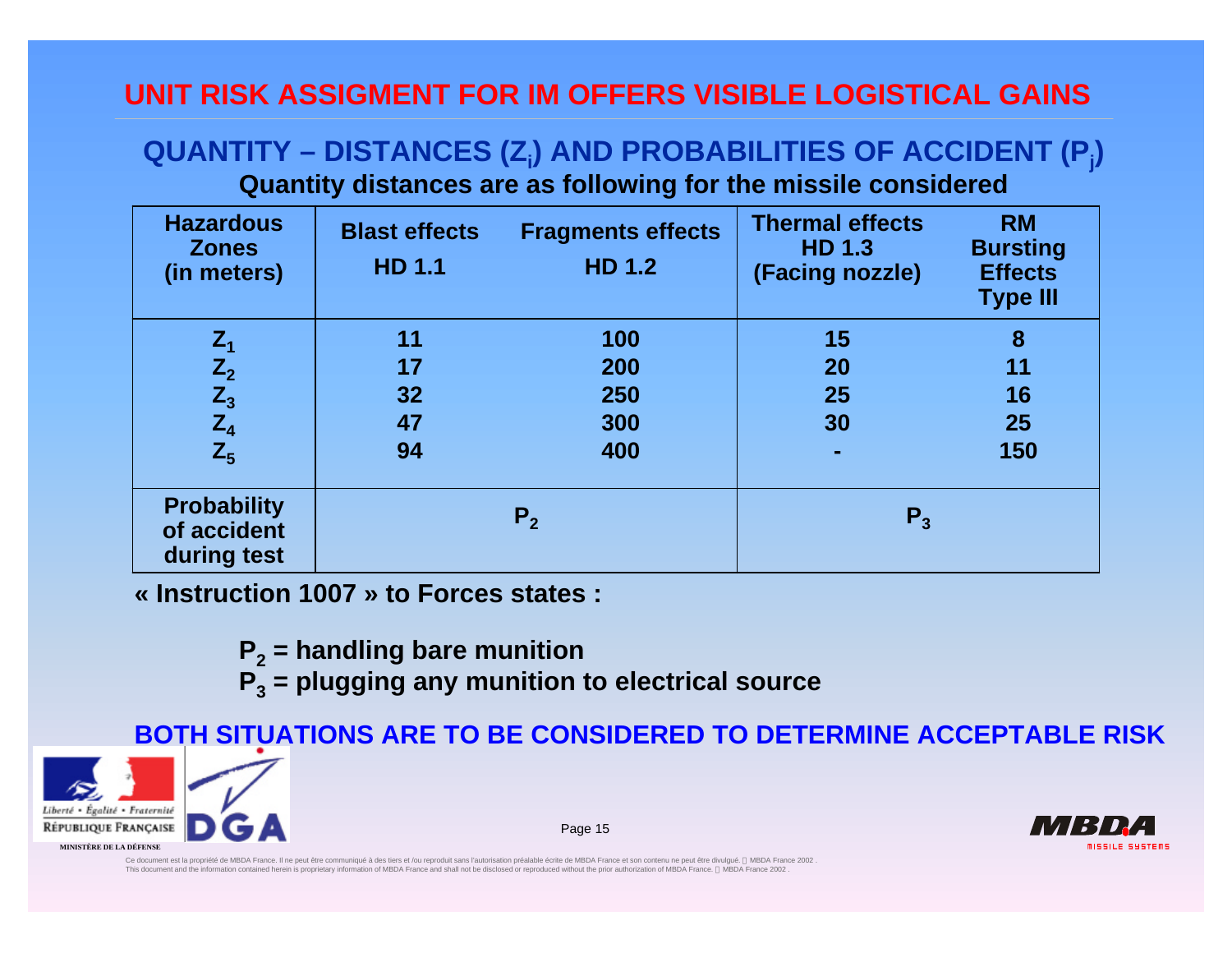#### **QUANTITY – DISTANCES (Z<sup>i</sup> ) AND PROBABILITIES OF ACCIDENT (P<sup>j</sup> ) Quantity distances are as following for the missile considered**

| <b>Hazardous</b><br><b>Zones</b><br>(in meters)  | <b>Blast effects</b><br><b>HD 1.1</b> | <b>Fragments effects</b><br><b>HD 1.2</b> | <b>Thermal effects</b><br><b>HD 1.3</b><br>(Facing nozzle) | <b>RM</b><br><b>Bursting</b><br><b>Effects</b><br><b>Type III</b> |
|--------------------------------------------------|---------------------------------------|-------------------------------------------|------------------------------------------------------------|-------------------------------------------------------------------|
|                                                  | 11                                    | 100                                       | 15                                                         | 8                                                                 |
|                                                  | 17                                    | 200                                       | 20                                                         | 11                                                                |
|                                                  | 32                                    | 250                                       | 25                                                         | 16                                                                |
|                                                  | 47                                    | 300                                       | 30                                                         | 25                                                                |
| $Z_1$<br>$Z_2$<br>$Z_3$<br>$Z_4$<br>$Z_5$        | 94                                    | 400                                       | ٠                                                          | 150                                                               |
| <b>Probability</b><br>of accident<br>during test | P <sub>2</sub>                        |                                           | $P_{3}$                                                    |                                                                   |

**« Instruction 1007 » to Forces states :**

- **P2 = handling bare munition**
- **P3 = plugging any munition to electrical source**

**BOTH SITUATIONS ARE TO BE CONSIDERED TO DETERMINE ACCEPTABLE RISK**



Page 15

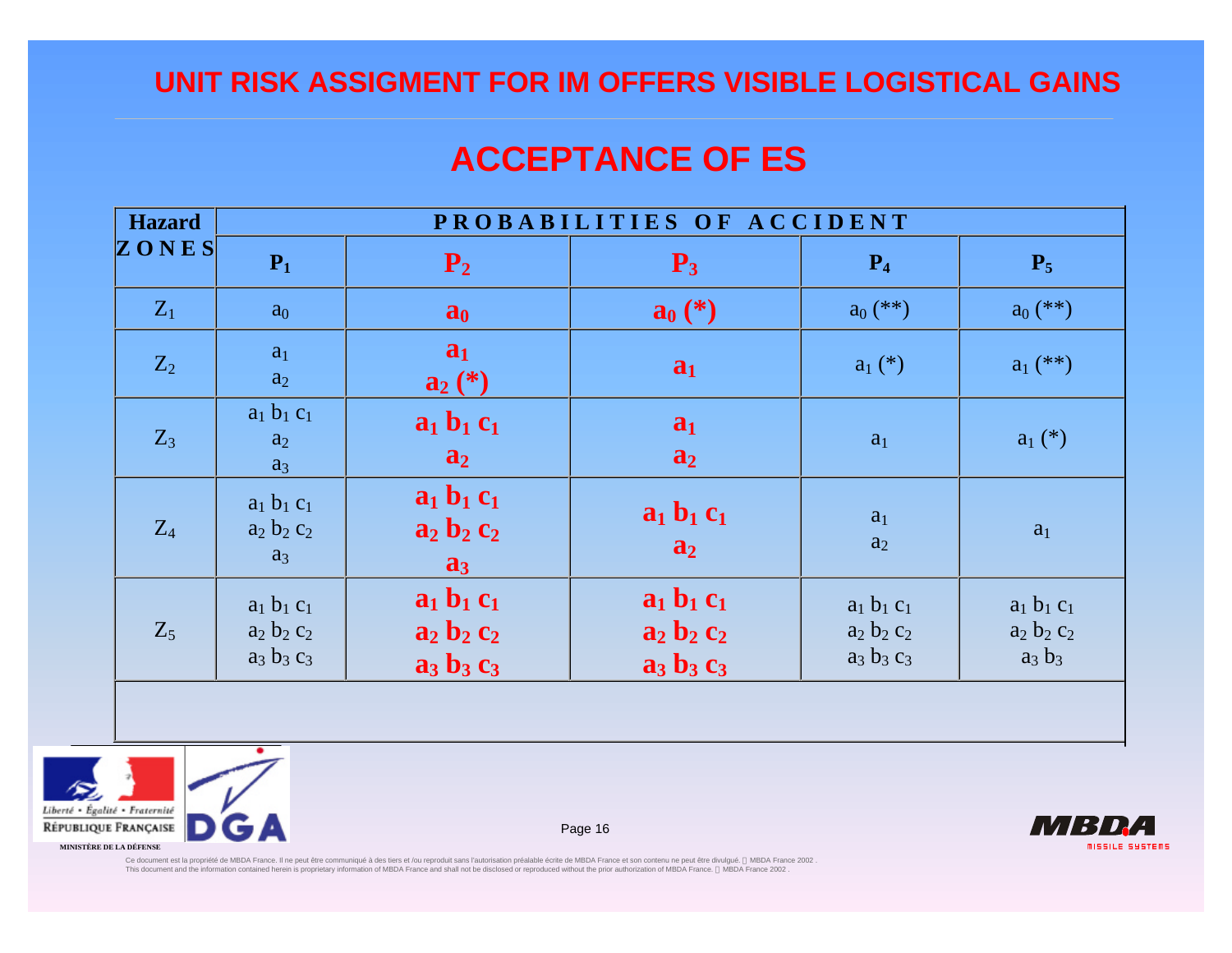## **ACCEPTANCE OF ES**

| <b>Hazard</b> | PROBABILITIES OF ACCIDENT                       |                                                 |                                                 |                                                 |                                             |  |
|---------------|-------------------------------------------------|-------------------------------------------------|-------------------------------------------------|-------------------------------------------------|---------------------------------------------|--|
| ZONES         | $P_1$                                           | $P_2$                                           | $P_3$                                           | $P_4$                                           | $P_5$                                       |  |
| $Z_1$         | $a_0$                                           | a <sub>0</sub>                                  | $a_0 (*)$                                       | $a_0$ (**)                                      | $a_0$ (**)                                  |  |
| $Z_2$         | a <sub>1</sub><br>$a_2$                         | a <sub>1</sub><br>$a_2(*)$                      | a <sub>1</sub>                                  | $a_1$ (*)                                       | $a_1$ (**)                                  |  |
| $Z_3$         | $a_1 b_1 c_1$<br>a <sub>2</sub><br>$a_3$        | $a_1 b_1 c_1$<br>$a_2$                          | a <sub>1</sub><br>$a_2$                         | a <sub>1</sub>                                  | $a_1$ (*)                                   |  |
| $Z_4$         | $a_1 b_1 c_1$<br>$a_2 b_2 c_2$<br>$a_3$         | $a_1 b_1 c_1$<br>$a_2 b_2 c_2$<br>$a_3$         | $a_1 b_1 c_1$<br>a <sub>2</sub>                 | a <sub>1</sub><br>a <sub>2</sub>                | a <sub>1</sub>                              |  |
| $Z_5$         | $a_1 b_1 c_1$<br>$a_2 b_2 c_2$<br>$a_3 b_3 c_3$ | $a_1 b_1 c_1$<br>$a_2 b_2 c_2$<br>$a_3 b_3 c_3$ | $a_1 b_1 c_1$<br>$a_2 b_2 c_2$<br>$a_3 b_3 c_3$ | $a_1 b_1 c_1$<br>$a_2 b_2 c_2$<br>$a_3 b_3 c_3$ | $a_1 b_1 c_1$<br>$a_2 b_2 c_2$<br>$a_3 b_3$ |  |
|               |                                                 |                                                 |                                                 |                                                 |                                             |  |



Page 16



Ce document ast la propriéte de MBDA France. II ne peut être communiqué à des tiers et /ou reproduit sans l'audon préalable écrite de MBDA France et son contenu ne peut être divulgué. © MBDA France, © MBDA France 2002 .<br>T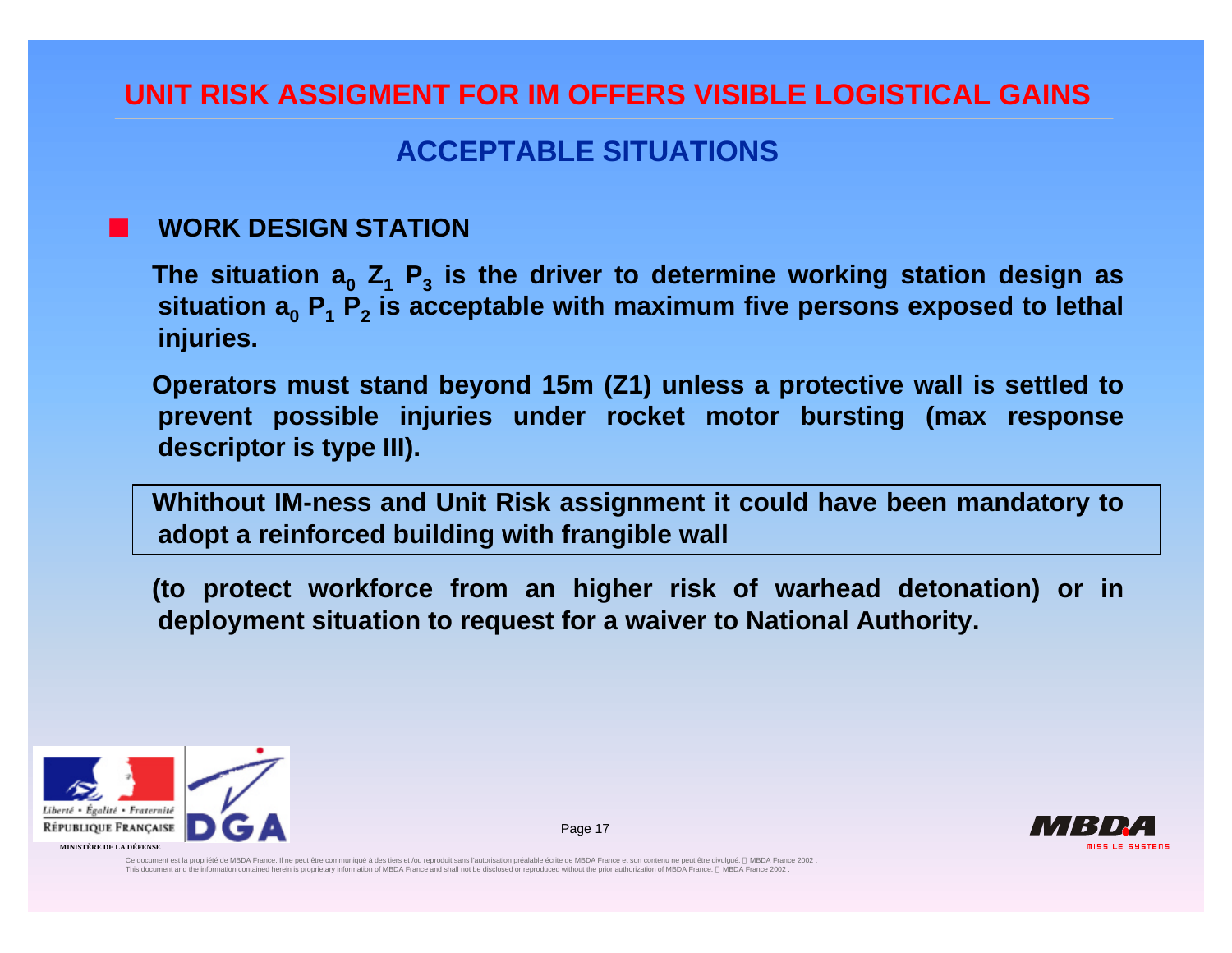### **ACCEPTABLE SITUATIONS**

#### n **WORK DESIGN STATION**

**The situation a<sup>0</sup> Z<sup>1</sup> P<sup>3</sup> is the driver to determine working station design as situation a<sup>0</sup> P<sup>1</sup> P<sup>2</sup> is acceptable with maximum five persons exposed to lethal injuries.**

**Operators must stand beyond 15m (Z1) unless a protective wall is settled to prevent possible injuries under rocket motor bursting (max response descriptor is type III).**

**Whithout IM-ness and Unit Risk assignment it could have been mandatory to adopt a reinforced building with frangible wall**

**(to protect workforce from an higher risk of warhead detonation) or in deployment situation to request for a waiver to National Authority.**

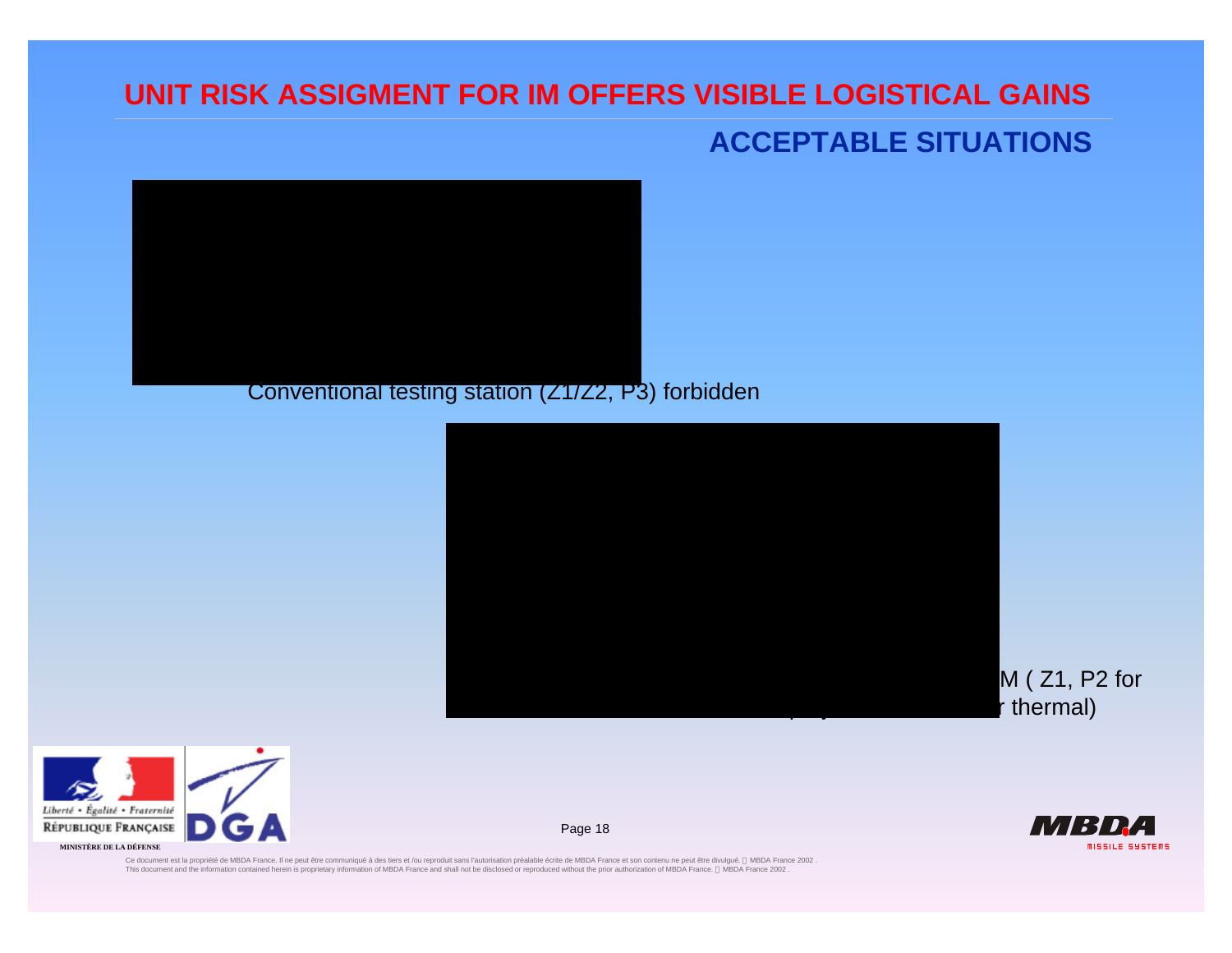### **ACCEPTABLE SITUATIONS**



#### Conventional testing station (Z1/Z2, P3) forbidden



erté • Égalité • Fraternité PUBLIQUE FRANÇAISE **MINISTÈRE DE LA DÉFENSE**

TV 137 D **MISSILE SUSTEMS** 

Ce document ast la propriéte de MBDA France. II ne peut être communiqué à des tiers et /ou reproduit sans l'audon préalable écrite de MBDA France et son contenu ne peut être divulgué. © MBDA France, © MBDA France 2002 .<br>T

Page 18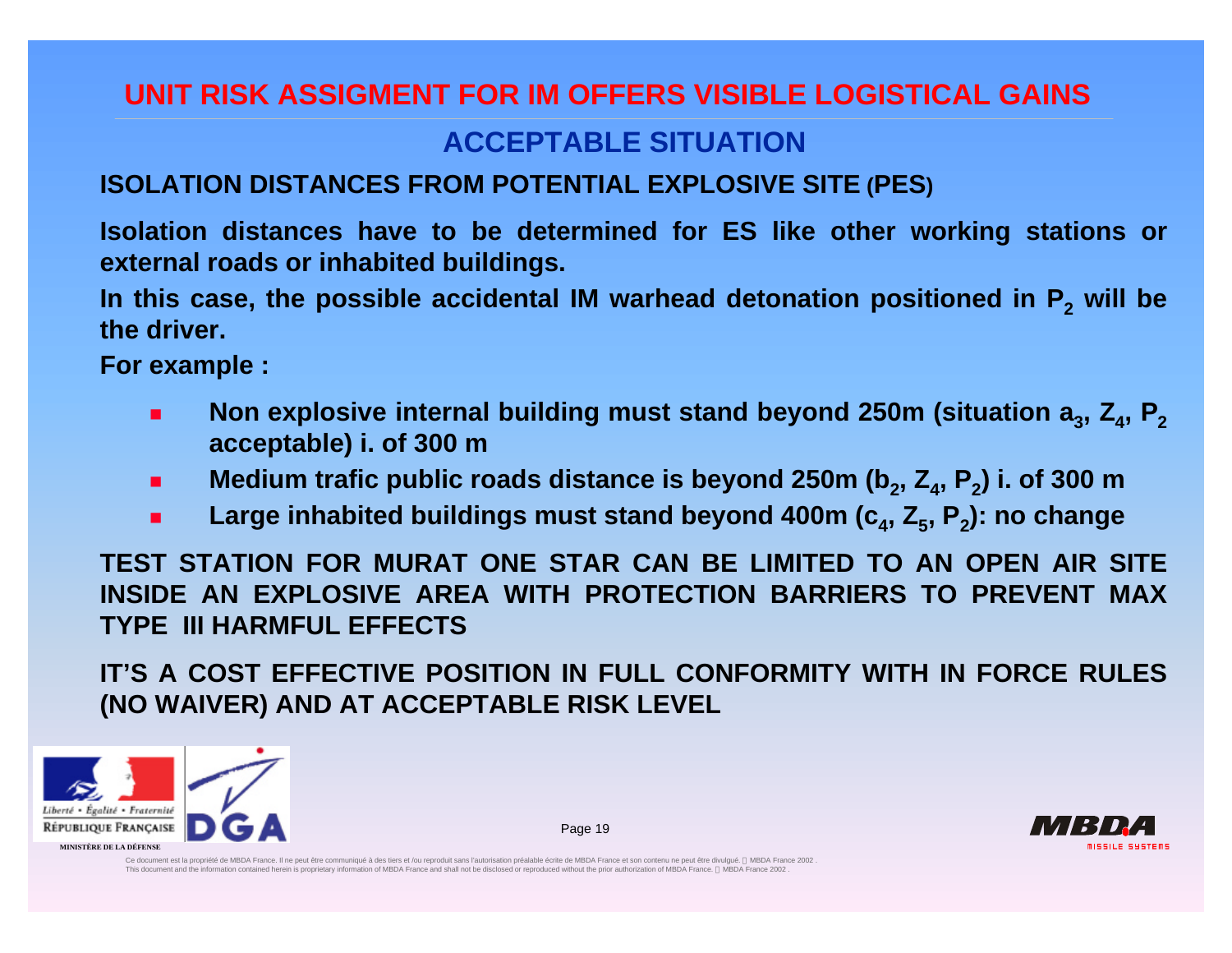## **ACCEPTABLE SITUATION**

#### **ISOLATION DISTANCES FROM POTENTIAL EXPLOSIVE SITE (PES)**

**Isolation distances have to be determined for ES like other working stations or external roads or inhabited buildings.**

**In this case, the possible accidental IM warhead detonation positioned in P<sup>2</sup> will be the driver.**

**For example :**

- **n** Non explosive internal building must stand beyond 250m (situation a<sub>3</sub>, Z<sub>4</sub>, P<sub>2</sub> **acceptable) i. of 300 m**
- Medium trafic public roads distance is beyond 250m (b<sub>2</sub>, Z<sub>4</sub>, P<sub>2</sub>) i. of 300 m
- Large inhabited buildings must stand beyond 400m (c<sub>4</sub>, Z<sub>5</sub>, P<sub>2</sub>): no change

**TEST STATION FOR MURAT ONE STAR CAN BE LIMITED TO AN OPEN AIR SITE INSIDE AN EXPLOSIVE AREA WITH PROTECTION BARRIERS TO PREVENT MAX TYPE III HARMFUL EFFECTS**

**IT'S A COST EFFECTIVE POSITION IN FULL CONFORMITY WITH IN FORCE RULES (NO WAIVER) AND AT ACCEPTABLE RISK LEVEL**

Page 19